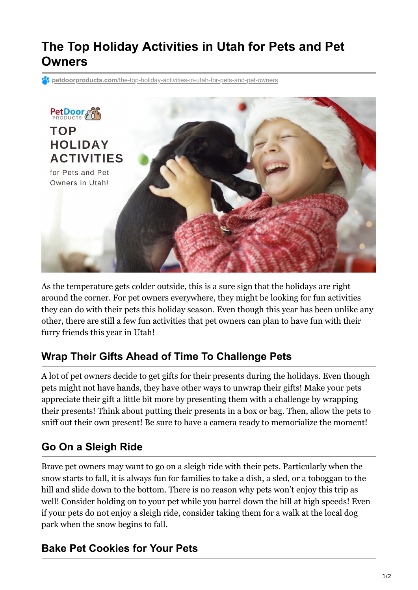# **The Top Holiday Activities in Utah for Pets and Pet Owners**

**petdoorproducts.com**[/the-top-holiday-activities-in-utah-for-pets-and-pet-owners](https://petdoorproducts.com/the-top-holiday-activities-in-utah-for-pets-and-pet-owners/)



As the temperature gets colder outside, this is a sure sign that the holidays are right around the corner. For pet owners everywhere, they might be looking for fun activities they can do with their pets this holiday season. Even though this year has been unlike any other, there are still a few fun activities that pet owners can plan to have fun with their furry friends this year in Utah!

## **Wrap Their Gifts Ahead of Time To Challenge Pets**

A lot of pet owners decide to get gifts for their presents during the holidays. Even though pets might not have hands, they have other ways to unwrap their gifts! Make your pets appreciate their gift a little bit more by presenting them with a challenge by wrapping their presents! Think about putting their presents in a box or bag. Then, allow the pets to sniff out their own present! Be sure to have a camera ready to memorialize the moment!

## **Go On a Sleigh Ride**

Brave pet owners may want to go on a sleigh ride with their pets. Particularly when the snow starts to fall, it is always fun for families to take a dish, a sled, or a toboggan to the hill and slide down to the bottom. There is no reason why pets won't enjoy this trip as well! Consider holding on to your pet while you barrel down the hill at high speeds! Even if your pets do not enjoy a sleigh ride, consider taking them for a walk at the local dog park when the snow begins to fall.

## **Bake Pet Cookies for Your Pets**